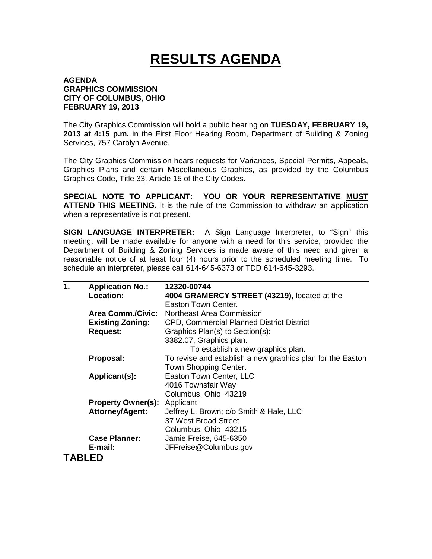## **RESULTS AGENDA**

## **AGENDA GRAPHICS COMMISSION CITY OF COLUMBUS, OHIO FEBRUARY 19, 2013**

The City Graphics Commission will hold a public hearing on **TUESDAY, FEBRUARY 19, 2013 at 4:15 p.m.** in the First Floor Hearing Room, Department of Building & Zoning Services, 757 Carolyn Avenue.

The City Graphics Commission hears requests for Variances, Special Permits, Appeals, Graphics Plans and certain Miscellaneous Graphics, as provided by the Columbus Graphics Code, Title 33, Article 15 of the City Codes.

**SPECIAL NOTE TO APPLICANT: YOU OR YOUR REPRESENTATIVE MUST ATTEND THIS MEETING.** It is the rule of the Commission to withdraw an application when a representative is not present.

**SIGN LANGUAGE INTERPRETER:** A Sign Language Interpreter, to "Sign" this meeting, will be made available for anyone with a need for this service, provided the Department of Building & Zoning Services is made aware of this need and given a reasonable notice of at least four (4) hours prior to the scheduled meeting time. To schedule an interpreter, please call 614-645-6373 or TDD 614-645-3293.

| 1. | <b>Application No.:</b>   | 12320-00744                                                |
|----|---------------------------|------------------------------------------------------------|
|    | <b>Location:</b>          | 4004 GRAMERCY STREET (43219), located at the               |
|    |                           | Easton Town Center.                                        |
|    | <b>Area Comm./Civic:</b>  | Northeast Area Commission                                  |
|    | <b>Existing Zoning:</b>   | <b>CPD, Commercial Planned District District</b>           |
|    | <b>Request:</b>           | Graphics Plan(s) to Section(s):                            |
|    |                           | 3382.07, Graphics plan.                                    |
|    |                           | To establish a new graphics plan.                          |
|    | Proposal:                 | To revise and establish a new graphics plan for the Easton |
|    |                           | Town Shopping Center.                                      |
|    | Applicant(s):             | Easton Town Center, LLC                                    |
|    |                           | 4016 Townsfair Way                                         |
|    |                           | Columbus, Ohio 43219                                       |
|    | <b>Property Owner(s):</b> | Applicant                                                  |
|    | <b>Attorney/Agent:</b>    | Jeffrey L. Brown; c/o Smith & Hale, LLC                    |
|    |                           | 37 West Broad Street                                       |
|    |                           | Columbus, Ohio 43215                                       |
|    | <b>Case Planner:</b>      | Jamie Freise, 645-6350                                     |
|    | E-mail:                   | JFFreise@Columbus.gov                                      |
|    | TABLED                    |                                                            |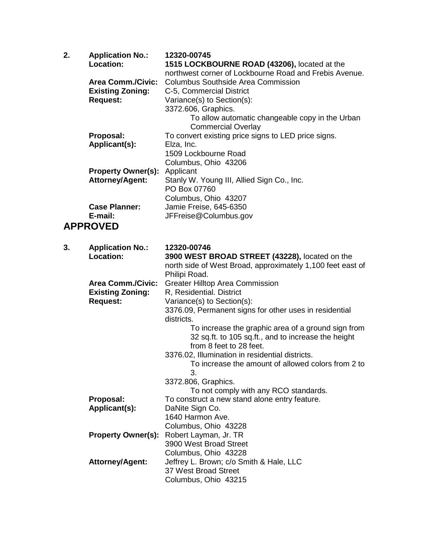| 2. | <b>Application No.:</b><br><b>Location:</b>                            | 12320-00745<br>1515 LOCKBOURNE ROAD (43206), located at the                                                                                                                                                                                                          |
|----|------------------------------------------------------------------------|----------------------------------------------------------------------------------------------------------------------------------------------------------------------------------------------------------------------------------------------------------------------|
|    | <b>Area Comm./Civic:</b><br><b>Existing Zoning:</b><br><b>Request:</b> | northwest corner of Lockbourne Road and Frebis Avenue.<br><b>Columbus Southside Area Commission</b><br>C-5, Commercial District<br>Variance(s) to Section(s):<br>3372.606, Graphics.<br>To allow automatic changeable copy in the Urban<br><b>Commercial Overlay</b> |
|    | Proposal:<br>Applicant(s):                                             | To convert existing price signs to LED price signs.<br>Elza, Inc.<br>1509 Lockbourne Road<br>Columbus, Ohio 43206                                                                                                                                                    |
|    | <b>Property Owner(s):</b><br><b>Attorney/Agent:</b>                    | Applicant<br>Stanly W. Young III, Allied Sign Co., Inc.<br>PO Box 07760<br>Columbus, Ohio 43207                                                                                                                                                                      |
|    | <b>Case Planner:</b><br>E-mail:                                        | Jamie Freise, 645-6350<br>JFFreise@Columbus.gov                                                                                                                                                                                                                      |
|    | <b>APPROVED</b>                                                        |                                                                                                                                                                                                                                                                      |
| 3. | <b>Application No.:</b>                                                | 12320-00746                                                                                                                                                                                                                                                          |
|    | <b>Location:</b>                                                       | 3900 WEST BROAD STREET (43228), located on the<br>north side of West Broad, approximately 1,100 feet east of<br>Philipi Road.                                                                                                                                        |
|    | <b>Area Comm./Civic:</b><br><b>Existing Zoning:</b><br><b>Request:</b> | <b>Greater Hilltop Area Commission</b><br>R, Residential. District<br>Variance(s) to Section(s):<br>3376.09, Permanent signs for other uses in residential<br>districts.                                                                                             |
|    |                                                                        | To increase the graphic area of a ground sign from<br>32 sq.ft. to 105 sq.ft., and to increase the height<br>from 8 feet to 28 feet.                                                                                                                                 |
|    |                                                                        | 3376.02, Illumination in residential districts.<br>To increase the amount of allowed colors from 2 to<br>3.                                                                                                                                                          |
|    |                                                                        | 3372.806, Graphics.<br>To not comply with any RCO standards.                                                                                                                                                                                                         |
|    | Proposal:<br>Applicant(s):                                             | To construct a new stand alone entry feature.<br>DaNite Sign Co.<br>1640 Harmon Ave.<br>Columbus, Ohio 43228                                                                                                                                                         |
|    | <b>Property Owner(s):</b>                                              | Robert Layman, Jr. TR<br>3900 West Broad Street<br>Columbus, Ohio 43228                                                                                                                                                                                              |
|    | <b>Attorney/Agent:</b>                                                 | Jeffrey L. Brown; c/o Smith & Hale, LLC<br>37 West Broad Street<br>Columbus, Ohio 43215                                                                                                                                                                              |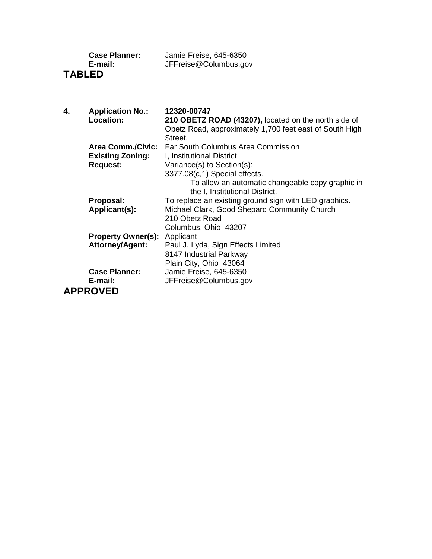| <b>Case Planner:</b> | Jamie Freise, 645-6350 |
|----------------------|------------------------|
| E-mail:              | JFFreise@Columbus.gov  |
| <b>TABLED</b>        |                        |

| 4. | <b>Application No.:</b>   | 12320-00747                                             |
|----|---------------------------|---------------------------------------------------------|
|    | Location:                 | 210 OBETZ ROAD (43207), located on the north side of    |
|    |                           | Obetz Road, approximately 1,700 feet east of South High |
|    |                           | Street.                                                 |
|    | <b>Area Comm./Civic:</b>  | Far South Columbus Area Commission                      |
|    | <b>Existing Zoning:</b>   | I, Institutional District                               |
|    | <b>Request:</b>           | Variance(s) to Section(s):                              |
|    |                           | 3377.08(c,1) Special effects.                           |
|    |                           | To allow an automatic changeable copy graphic in        |
|    |                           | the I, Institutional District.                          |
|    | Proposal:                 | To replace an existing ground sign with LED graphics.   |
|    | Applicant(s):             | Michael Clark, Good Shepard Community Church            |
|    |                           | 210 Obetz Road                                          |
|    |                           | Columbus, Ohio 43207                                    |
|    | <b>Property Owner(s):</b> | Applicant                                               |
|    | <b>Attorney/Agent:</b>    | Paul J. Lyda, Sign Effects Limited                      |
|    |                           | 8147 Industrial Parkway                                 |
|    |                           | Plain City, Ohio 43064                                  |
|    | <b>Case Planner:</b>      | Jamie Freise, 645-6350                                  |
|    | E-mail:                   | JFFreise@Columbus.gov                                   |
|    | <b>APPROVED</b>           |                                                         |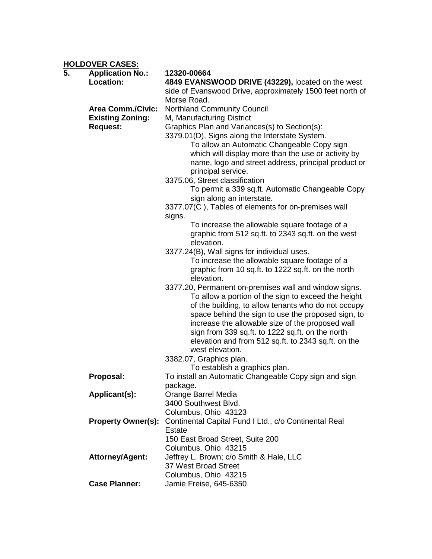**HOLDOVER CASES:**

| 5. | <u></u><br><b>Application No.:</b><br>Location: | 12320-00664<br>4849 EVANSWOOD DRIVE (43229), located on the west<br>side of Evanswood Drive, approximately 1500 feet north of                                                                                                                                                                                                     |
|----|-------------------------------------------------|-----------------------------------------------------------------------------------------------------------------------------------------------------------------------------------------------------------------------------------------------------------------------------------------------------------------------------------|
|    |                                                 | Morse Road.                                                                                                                                                                                                                                                                                                                       |
|    | <b>Area Comm./Civic:</b>                        | Northland Community Council                                                                                                                                                                                                                                                                                                       |
|    | <b>Existing Zoning:</b>                         | M, Manufacturing District                                                                                                                                                                                                                                                                                                         |
|    | <b>Request:</b>                                 | Graphics Plan and Variances(s) to Section(s):                                                                                                                                                                                                                                                                                     |
|    |                                                 | 3379.01(D), Signs along the Interstate System.<br>To allow an Automatic Changeable Copy sign                                                                                                                                                                                                                                      |
|    |                                                 | which will display more than the use or activity by                                                                                                                                                                                                                                                                               |
|    |                                                 | name, logo and street address, principal product or                                                                                                                                                                                                                                                                               |
|    |                                                 | principal service.                                                                                                                                                                                                                                                                                                                |
|    |                                                 | 3375.06, Street classification                                                                                                                                                                                                                                                                                                    |
|    |                                                 | To permit a 339 sq.ft. Automatic Changeable Copy                                                                                                                                                                                                                                                                                  |
|    |                                                 | sign along an interstate.                                                                                                                                                                                                                                                                                                         |
|    |                                                 | 3377.07(C), Tables of elements for on-premises wall<br>signs.                                                                                                                                                                                                                                                                     |
|    |                                                 | To increase the allowable square footage of a                                                                                                                                                                                                                                                                                     |
|    |                                                 | graphic from 512 sq.ft. to 2343 sq.ft. on the west                                                                                                                                                                                                                                                                                |
|    |                                                 | elevation.                                                                                                                                                                                                                                                                                                                        |
|    |                                                 | 3377.24(B), Wall signs for individual uses.                                                                                                                                                                                                                                                                                       |
|    |                                                 | To increase the allowable square footage of a                                                                                                                                                                                                                                                                                     |
|    |                                                 | graphic from 10 sq.ft. to 1222 sq.ft. on the north<br>elevation.                                                                                                                                                                                                                                                                  |
|    |                                                 | 3377.20, Permanent on-premises wall and window signs.<br>To allow a portion of the sign to exceed the height<br>of the building, to allow tenants who do not occupy<br>space behind the sign to use the proposed sign, to<br>increase the allowable size of the proposed wall<br>sign from 339 sq.ft. to 1222 sq.ft. on the north |
|    |                                                 | elevation and from 512 sq.ft. to 2343 sq.ft. on the<br>west elevation.                                                                                                                                                                                                                                                            |
|    |                                                 | 3382.07, Graphics plan.                                                                                                                                                                                                                                                                                                           |
|    |                                                 | To establish a graphics plan.                                                                                                                                                                                                                                                                                                     |
|    | Proposal:                                       | To install an Automatic Changeable Copy sign and sign                                                                                                                                                                                                                                                                             |
|    |                                                 | package.                                                                                                                                                                                                                                                                                                                          |
|    | Applicant(s):                                   | Orange Barrel Media<br>3400 Southwest Blvd.                                                                                                                                                                                                                                                                                       |
|    |                                                 | Columbus, Ohio 43123                                                                                                                                                                                                                                                                                                              |
|    | <b>Property Owner(s):</b>                       | Continental Capital Fund I Ltd., c/o Continental Real                                                                                                                                                                                                                                                                             |
|    |                                                 | <b>Estate</b>                                                                                                                                                                                                                                                                                                                     |
|    |                                                 | 150 East Broad Street, Suite 200                                                                                                                                                                                                                                                                                                  |
|    |                                                 | Columbus, Ohio 43215                                                                                                                                                                                                                                                                                                              |
|    | <b>Attorney/Agent:</b>                          | Jeffrey L. Brown; c/o Smith & Hale, LLC                                                                                                                                                                                                                                                                                           |
|    |                                                 | 37 West Broad Street                                                                                                                                                                                                                                                                                                              |
|    | <b>Case Planner:</b>                            | Columbus, Ohio 43215<br>Jamie Freise, 645-6350                                                                                                                                                                                                                                                                                    |
|    |                                                 |                                                                                                                                                                                                                                                                                                                                   |